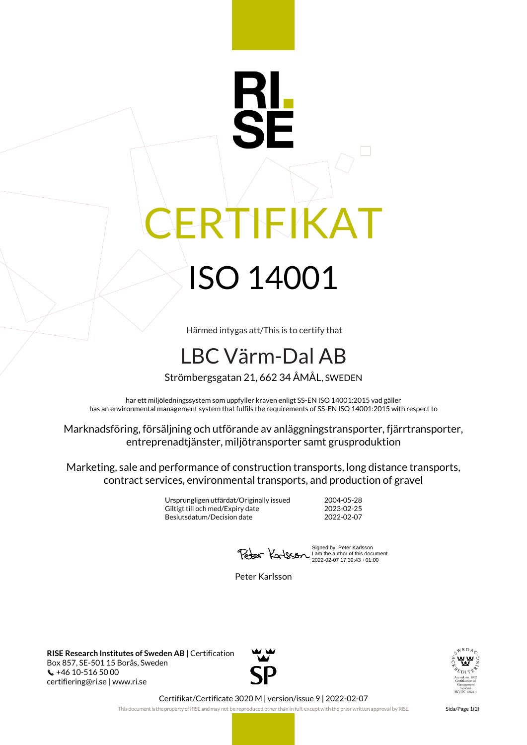## RTIFIKAT ISO 14001

Härmed intygas att/This is to certify that

## LBC Värm-Dal AB

Strömbergsgatan 21, 662 34 ÅMÅL, SWEDEN

har ett miljöledningssystem som uppfyller kraven enligt SS-EN ISO 14001:2015 vad gäller has an environmental management system that fulfils the requirements of SS-EN ISO 14001:2015 with respect to

Marknadsföring, försäljning och utförande av anläggningstransporter, fjärrtransporter, entreprenadtjänster, miljötransporter samt grusproduktion

Marketing, sale and performance of construction transports, long distance transports, contract services, environmental transports, and production of gravel

> Ursprungligen utfärdat/Originally issued 2004-05-28 Giltigt till och med/Expiry date 2023-02-25<br>Beslutsdatum/Decision date 2022-02-07 Beslutsdatum/Decision date

Signed by: Peter Karlsson I am the author of this document 2022-02-07 17:39:43 +01:00

Peter Karlsson

**RISE Research Institutes of Sweden AB** | Certification Box 857, SE-501 15 Borås, Sweden +46 10-516 50 00 certifiering@ri.se | www.ri.se





Certifikat/Certificate 3020 M | version/issue 9 | 2022-02-07

This document is the property of RISE and may not be reproduced other than in full, except with the prior written approval by RISE. Sida/Page 1(2)